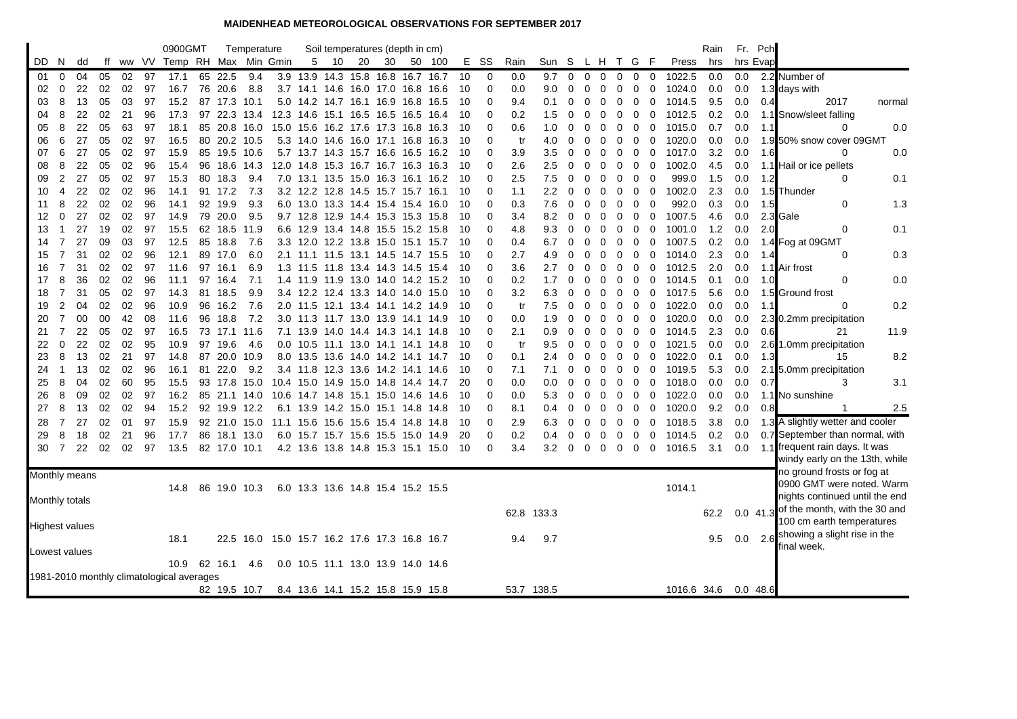## **MAIDENHEAD METEOROLOGICAL OBSERVATIONS FOR SEPTEMBER 2017**

|                       |                                                                                |    |    |    |    | 0900GMT                    |    |              | Temperature |                                              |            |    |    | Soil temperatures (depth in cm)    |                                   |    |             |      |            |             |             |                |             |             |                |             | Rain |     | Fr. Pch    |                                                         |        |
|-----------------------|--------------------------------------------------------------------------------|----|----|----|----|----------------------------|----|--------------|-------------|----------------------------------------------|------------|----|----|------------------------------------|-----------------------------------|----|-------------|------|------------|-------------|-------------|----------------|-------------|-------------|----------------|-------------|------|-----|------------|---------------------------------------------------------|--------|
| DD.                   | N                                                                              | dd | ff |    |    | ww VV Temp RH Max Min Gmin |    |              |             |                                              | 5          | 10 | 20 | 30                                 | 50 100                            |    | E SS        | Rain | Sun S      |             | L H         |                | T G F       |             |                | Press       | hrs  |     | hrs Evap   |                                                         |        |
| -01                   | $\mathbf{0}$                                                                   | 04 | 05 | 02 | 97 | 17.1                       | 65 | 22.5         | 9.4         |                                              |            |    |    | 3.9 13.9 14.3 15.8 16.8 16.7 16.7  |                                   | 10 | $\mathbf 0$ | 0.0  | 9.7        | $\mathbf 0$ | $\mathbf 0$ | $\mathbf 0$    | $\mathbf 0$ | 0           | $\mathbf 0$    | 1022.5      | 0.0  | 0.0 |            | 2.2 Number of                                           |        |
| 02                    | 0                                                                              | 22 | 02 | 02 | 97 | 16.7                       | 76 | 20.6         | 8.8         |                                              |            |    |    | 3.7 14.1 14.6 16.0 17.0 16.8 16.6  |                                   | 10 | $\mathbf 0$ | 0.0  | 9.0        | 0           | 0           | 0              | $\mathbf 0$ | 0           | $\mathbf 0$    | 1024.0      | 0.0  | 0.0 |            | 1.3 days with                                           |        |
| 03                    | 8                                                                              | 13 | 05 | 03 | 97 | 15.2                       |    | 87 17.3 10.1 |             |                                              |            |    |    | 5.0 14.2 14.7 16.1 16.9 16.8 16.5  |                                   | 10 | $\Omega$    | 9.4  | 0.1        | 0           | 0           | 0              | 0           | $\mathbf 0$ | $\mathbf 0$    | 1014.5      | 9.5  | 0.0 | 0.4        | 2017                                                    | normal |
| 04                    | 8                                                                              | 22 | 02 | 21 | 96 | 17.3                       | 97 | 22.3         | 13.4        |                                              |            |    |    | 12.3 14.6 15.1 16.5 16.5 16.5      | -16.4                             | 10 | 0           | 0.2  | 1.5        | 0           | 0           | 0              | 0           | 0           | 0              | 1012.5      | 0.2  | 0.0 |            | 1.1 Snow/sleet falling                                  |        |
| 05                    | 8                                                                              | 22 | 05 | 63 | 97 | 18.1                       | 85 | 20.8         | 16.0        |                                              |            |    |    | 15.0 15.6 16.2 17.6 17.3 16.8      | 16.3                              | 10 | $\Omega$    | 0.6  | 1.0        | 0           | $\Omega$    | 0              | 0           | 0           | 0              | 1015.0      | 0.7  | 0.0 | 1.1        | $\Omega$                                                | 0.0    |
| 06                    | 6                                                                              | 27 | 05 | 02 | 97 | 16.5                       |    | 80 20.2 10.5 |             |                                              |            |    |    | 5.3 14.0 14.6 16.0 17.1 16.8       | 16.3                              | 10 | $\Omega$    | tr   | 4.0        | 0           | 0           | 0              | 0           | 0           | 0              | 1020.0      | 0.0  | 0.0 |            | 1.9 50% snow cover 09GMT                                |        |
| 07                    | 6                                                                              | 27 | 05 | 02 | 97 | 15.9                       |    | 85 19.5 10.6 |             |                                              |            |    |    |                                    | 5.7 13.7 14.3 15.7 16.6 16.5 16.2 | 10 | 0           | 3.9  | 3.5        | 0           | 0           | 0              | 0           | 0           | $\mathbf 0$    | 1017.0      | 3.2  | 0.0 | 1.6        | $\Omega$                                                | 0.0    |
| 08                    | 8                                                                              | 22 | 05 | 02 | 96 | 15.4                       | 96 | 18.6         | 14.3        |                                              |            |    |    | 12.0 14.8 15.3 16.7 16.7 16.3 16.3 |                                   | 10 | 0           | 2.6  | 2.5        | 0           | 0           | 0              | 0           | 0           | $\overline{0}$ | 1002.0      | 4.5  | 0.0 |            | 1.1 Hail or ice pellets                                 |        |
| 09                    | 2                                                                              | 27 | 05 | 02 | 97 | 15.3                       | 80 | 18.3         | 9.4         | 7.0                                          |            |    |    |                                    | 13.1 13.5 15.0 16.3 16.1 16.2     | 10 | $\Omega$    | 2.5  | 7.5        | 0           | 0           | 0              | $\mathbf 0$ | 0           | $\mathbf 0$    | 999.0       | 1.5  | 0.0 | 1.2        | $\Omega$                                                | 0.1    |
| 10                    | 4                                                                              | 22 | 02 | 02 | 96 | 14.1                       |    | 91 17.2      | 7.3         |                                              |            |    |    | 3.2 12.2 12.8 14.5 15.7 15.7 16.1  |                                   | 10 | $\Omega$    | 1.1  | $2.2\,$    | 0           | 0           | 0              | 0           | 0           | $\overline{0}$ | 1002.0      | 2.3  | 0.0 |            | 1.5 Thunder                                             |        |
| 11                    | 8                                                                              | 22 | 02 | 02 | 96 | 14.1                       | 92 | 19.9         | 9.3         |                                              |            |    |    | 6.0 13.0 13.3 14.4 15.4 15.4 16.0  |                                   | 10 | 0           | 0.3  | 7.6        | 0           | 0           | 0              | 0           | 0           | $\mathbf 0$    | 992.0       | 0.3  | 0.0 | 1.5        | 0                                                       | 1.3    |
| 12                    | $\Omega$                                                                       | 27 | 02 | 02 | 97 | 14.9                       | 79 | 20.0         | 9.5         |                                              | $9.7$ 12.8 |    |    | 12.9 14.4 15.3 15.3                | -15.8                             | 10 | 0           | 3.4  | 8.2        | 0           | $\Omega$    | 0              | 0           | 0           | $\mathbf 0$    | 1007.5      | 4.6  | 0.0 |            | 2.3 Gale                                                |        |
| 13                    | $\mathbf{1}$                                                                   | 27 | 19 | 02 | 97 | 15.5                       |    | 62 18.5      | 11.9        |                                              |            |    |    | 6.6 12.9 13.4 14.8 15.5 15.2 15.8  |                                   | 10 | $\Omega$    | 4.8  | 9.3        | 0           | 0           | 0              | 0           | 0           | 0              | 1001.0      | 1.2  | 0.0 | 2.0        | $\Omega$                                                | 0.1    |
| 14                    | 7                                                                              | 27 | 09 | 03 | 97 | 12.5                       |    | 85 18.8      | 7.6         |                                              |            |    |    | 3.3 12.0 12.2 13.8 15.0 15.1 15.7  |                                   | 10 | $\Omega$    | 0.4  | 6.7        | 0           | 0           | 0              | 0           | 0           | 0              | 1007.5      | 0.2  | 0.0 |            | 1.4 Fog at 09GMT                                        |        |
| 15                    | 7                                                                              | 31 | 02 | 02 | 96 | 12.1                       | 89 | 17.0         | 6.0         | 2.1                                          |            |    |    | 11.1 11.5 13.1 14.5 14.7 15.5      |                                   | 10 | 0           | 2.7  | 4.9        | 0           | 0           | 0              | 0           | $\mathbf 0$ | $\mathbf 0$    | 1014.0      | 2.3  | 0.0 | 1.4        | 0                                                       | 0.3    |
| 16                    | $\overline{7}$                                                                 | 31 | 02 | 02 | 97 | 11.6                       | 97 | 16.1         | 6.9         |                                              |            |    |    | 1.3 11.5 11.8 13.4 14.3 14.5 15.4  |                                   | 10 | $\Omega$    | 3.6  | 2.7        | 0           | 0           | 0              | 0           | 0           | $\mathbf 0$    | 1012.5      | 2.0  | 0.0 |            | 1.1 Air frost                                           |        |
| 17                    | 8                                                                              | 36 | 02 | 02 | 96 | 11.1                       |    | 97 16.4      | 7.1         |                                              |            |    |    |                                    | 1.4 11.9 11.9 13.0 14.0 14.2 15.2 | 10 | $\Omega$    | 0.2  | 1.7        | 0           | 0           | 0              | 0           | 0           | 0              | 1014.5      | 0.1  | 0.0 | 1.0        | $\mathbf 0$                                             | 0.0    |
| 18                    | 7                                                                              | 31 | 05 | 02 | 97 | 14.3                       | 81 | 18.5         | 9.9         |                                              |            |    |    | 3.4 12.2 12.4 13.3 14.0 14.0 15.0  |                                   | 10 | 0           | 3.2  | 6.3        | 0           | $\Omega$    | 0              | 0           | 0           | $\mathbf 0$    | 1017.5      | 5.6  | 0.0 |            | 1.5 Ground frost                                        |        |
| 19                    | 2                                                                              | 04 | 02 | 02 | 96 | 10.9                       | 96 | 16.2         | 7.6         | 2.0                                          | 11.5       |    |    | 12.1 13.4 14.1 14.2                | -14.9                             | 10 | 0           | tr   | 7.5        | 0           | $\Omega$    | 0              | 0           | 0           | 0              | 1022.0      | 0.0  | 0.0 | 1.1        | $\Omega$                                                | 0.2    |
| 20                    | $\overline{7}$                                                                 | 00 | 00 | 42 | 08 | 11.6                       | 96 | 18.8         | 7.2         |                                              |            |    |    | 3.0 11.3 11.7 13.0 13.9 14.1 14.9  |                                   | 10 | 0           | 0.0  | 1.9        | 0           | 0           | 0              | 0           | 0           | $\mathbf 0$    | 1020.0      | 0.0  | 0.0 |            | 2.3 0.2mm precipitation                                 |        |
| 21                    | 7                                                                              | 22 | 05 | 02 | 97 | 16.5                       |    | 73 17.1 11.6 |             |                                              |            |    |    | 7.1 13.9 14.0 14.4 14.3 14.1 14.8  |                                   | 10 | 0           | 2.1  | 0.9        | 0           | 0           | 0              | 0           | 0           | 0              | 1014.5      | 2.3  | 0.0 | 0.6        | 21                                                      | 11.9   |
| 22                    | 0                                                                              | 22 | 02 | 02 | 95 | 10.9                       | 97 | 19.6         | 4.6         |                                              |            |    |    | 0.0 10.5 11.1 13.0 14.1 14.1 14.8  |                                   | 10 | 0           | tr   | 9.5        | 0           | 0           | 0              | 0           | 0           | 0              | 1021.5      | 0.0  | 0.0 |            | 2.6 1.0mm precipitation                                 |        |
| 23                    | 8                                                                              | 13 | 02 | 21 | 97 | 14.8                       | 87 | 20.0         | 10.9        |                                              |            |    |    | 8.0 13.5 13.6 14.0 14.2 14.1 14.7  |                                   | 10 | 0           | 0.1  | 2.4        | 0           | 0           | 0              | 0           | 0           | $\mathbf 0$    | 1022.0      | 0.1  | 0.0 | 1.3        | 15                                                      | 8.2    |
| 24                    | $\mathbf 1$                                                                    | 13 | 02 | 02 | 96 | 16.1                       | 81 | 22.0         | 9.2         |                                              |            |    |    | 3.4 11.8 12.3 13.6 14.2 14.1 14.6  |                                   | 10 | $\Omega$    | 7.1  | 7.1        | 0           | 0           | 0              | 0           | 0           | 0              | 1019.5      | 5.3  | 0.0 |            | 2.1 5.0mm precipitation                                 |        |
| 25                    | 8                                                                              | 04 | 02 | 60 | 95 | 15.5                       | 93 | 17.8 15.0    |             |                                              |            |    |    | 10.4 15.0 14.9 15.0 14.8 14.4 14.7 |                                   | 20 | $\Omega$    | 0.0  | 0.0        | 0           | 0           | 0              | $\mathbf 0$ | 0           | 0              | 1018.0      | 0.0  | 0.0 | 0.7        | 3                                                       | 3.1    |
| 26                    | 8                                                                              | 09 | 02 | 02 | 97 | 16.2                       | 85 |              | 21.1 14.0   | 10.6                                         | 14.7 14.8  |    |    | 15.1 15.0 14.6                     | 14.6                              | 10 | 0           | 0.0  | 5.3        | 0           | 0           | 0              | 0           | 0           | 0              | 1022.0      | 0.0  | 0.0 |            | 1.1 No sunshine                                         |        |
| 27                    | 8                                                                              | 13 | 02 | 02 | 94 | 15.2                       |    | 92 19.9 12.2 |             |                                              |            |    |    | 6.1 13.9 14.2 15.0 15.1 14.8       | -14.8                             | 10 | 0           | 8.1  | 0.4        | 0           | $\mathbf 0$ | 0              | 0           | 0           | 0              | 1020.0      | 9.2  | 0.0 | 0.8        |                                                         | 2.5    |
| 28                    | $\overline{7}$                                                                 | 27 | 02 | 01 | 97 | 15.9                       |    | 92 21.0 15.0 |             |                                              |            |    |    | 11.1 15.6 15.6 15.6 15.4 14.8 14.8 |                                   | 10 | 0           | 2.9  | 6.3        | 0           | 0           | 0              | 0           | 0           | $\mathbf 0$    | 1018.5      | 3.8  | 0.0 |            | 1.3 A slightly wetter and cooler                        |        |
| 29                    | 8                                                                              | 18 | 02 | 21 | 96 | 17.7                       |    | 86 18.1 13.0 |             |                                              |            |    |    | 6.0 15.7 15.7 15.6 15.5 15.0 14.9  |                                   | 20 | 0           | 0.2  | 0.4        | 0           | $\Omega$    | 0              | $\mathbf 0$ | 0           | $\mathbf 0$    | 1014.5      | 0.2  | 0.0 |            | 0.7 September than normal, with                         |        |
| 30                    | 7                                                                              | 22 | 02 | 02 | 97 | 13.5                       |    | 82 17.0 10.1 |             |                                              |            |    |    |                                    | 4.2 13.6 13.8 14.8 15.3 15.1 15.0 | 10 | $\Omega$    | 3.4  | 3.2        | 0           | $\mathbf 0$ | $\overline{0}$ | $\mathbf 0$ | $0\quad 0$  |                | 1016.5      | 3.1  | 0.0 |            | 1.1 frequent rain days. It was                          |        |
|                       |                                                                                |    |    |    |    |                            |    |              |             |                                              |            |    |    |                                    |                                   |    |             |      |            |             |             |                |             |             |                |             |      |     |            | windy early on the 13th, while                          |        |
| Monthly means         |                                                                                |    |    |    |    |                            |    |              |             |                                              |            |    |    |                                    |                                   |    |             |      |            |             |             |                |             |             |                |             |      |     |            | no ground frosts or fog at<br>0900 GMT were noted. Warm |        |
|                       |                                                                                |    |    |    |    | 14.8                       | 86 |              | 19.0 10.3   |                                              |            |    |    | 6.0 13.3 13.6 14.8 15.4 15.2 15.5  |                                   |    |             |      |            |             |             |                |             |             |                | 1014.1      |      |     |            | nights continued until the end                          |        |
| Monthly totals        |                                                                                |    |    |    |    |                            |    |              |             |                                              |            |    |    |                                    |                                   |    |             |      |            |             |             |                |             |             |                |             |      |     |            | of the month, with the 30 and                           |        |
|                       |                                                                                |    |    |    |    |                            |    |              |             |                                              |            |    |    |                                    |                                   |    |             |      | 62.8 133.3 |             |             |                |             |             |                |             | 62.2 |     | $0.0$ 41.3 | 100 cm earth temperatures                               |        |
| <b>Highest values</b> |                                                                                |    |    |    |    |                            |    |              |             |                                              |            |    |    |                                    |                                   |    |             |      |            |             |             |                |             |             |                |             |      |     |            | 2.6 showing a slight rise in the                        |        |
|                       |                                                                                |    |    |    |    | 18.1                       |    |              |             | 22.5 16.0 15.0 15.7 16.2 17.6 17.3 16.8 16.7 |            |    |    |                                    |                                   |    |             | 9.4  | 9.7        |             |             |                |             |             |                |             | 9.5  | 0.0 |            | ïnal week.                                              |        |
| Lowest values         |                                                                                |    |    |    |    |                            |    |              |             |                                              |            |    |    |                                    |                                   |    |             |      |            |             |             |                |             |             |                |             |      |     |            |                                                         |        |
|                       |                                                                                |    |    |    |    | 10.9                       |    | 62 16.1      | 4.6         |                                              |            |    |    | 0.0 10.5 11.1 13.0 13.9 14.0 14.6  |                                   |    |             |      |            |             |             |                |             |             |                |             |      |     |            |                                                         |        |
|                       | 1981-2010 monthly climatological averages<br>8.4 13.6 14.1 15.2 15.8 15.9 15.8 |    |    |    |    |                            |    |              |             |                                              |            |    |    |                                    |                                   |    |             |      |            |             |             |                |             |             |                |             |      |     |            |                                                         |        |
|                       |                                                                                |    |    |    |    |                            |    | 82 19.5 10.7 |             |                                              |            |    |    |                                    |                                   |    |             |      | 53.7 138.5 |             |             |                |             |             |                | 1016.6 34.6 |      |     | 0.048.6    |                                                         |        |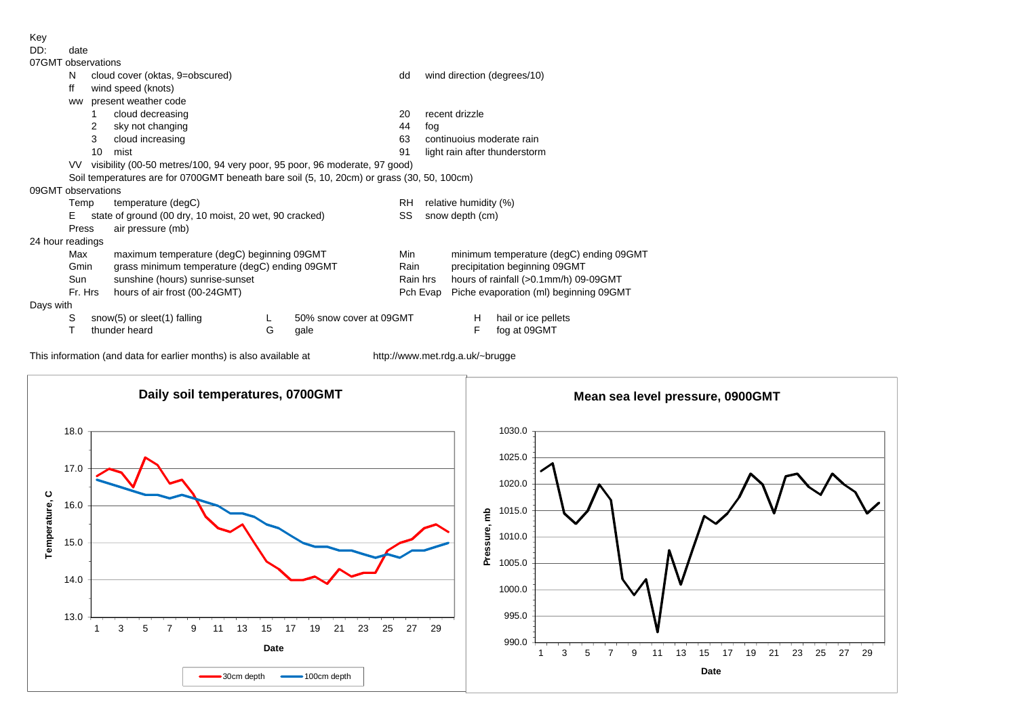Key<br>DD:

date

| ------           |
|------------------|
| 07GMT observatio |

| <u>U/GMI ODServations</u> |           |                                               |                                                                                            |   |                         |           |                                         |  |  |  |  |
|---------------------------|-----------|-----------------------------------------------|--------------------------------------------------------------------------------------------|---|-------------------------|-----------|-----------------------------------------|--|--|--|--|
|                           | N         | cloud cover (oktas, 9=obscured)               |                                                                                            |   |                         | dd        | wind direction (degrees/10)             |  |  |  |  |
|                           | ff        |                                               | wind speed (knots)                                                                         |   |                         |           |                                         |  |  |  |  |
|                           | <b>WW</b> |                                               | present weather code                                                                       |   |                         |           |                                         |  |  |  |  |
|                           |           |                                               | cloud decreasing                                                                           |   |                         | 20        | recent drizzle                          |  |  |  |  |
|                           |           | 2                                             | sky not changing                                                                           |   |                         | 44        | fog                                     |  |  |  |  |
|                           |           | 3                                             | cloud increasing                                                                           |   |                         | 63        | continuoius moderate rain               |  |  |  |  |
|                           |           | 10                                            | mist                                                                                       |   |                         | 91        | light rain after thunderstorm           |  |  |  |  |
|                           | VV.       |                                               | visibility (00-50 metres/100, 94 very poor, 95 poor, 96 moderate, 97 good)                 |   |                         |           |                                         |  |  |  |  |
|                           |           |                                               | Soil temperatures are for 0700GMT beneath bare soil (5, 10, 20cm) or grass (30, 50, 100cm) |   |                         |           |                                         |  |  |  |  |
| 09GMT observations        |           |                                               |                                                                                            |   |                         |           |                                         |  |  |  |  |
|                           | Temp      |                                               | temperature (degC)                                                                         |   |                         | <b>RH</b> | relative humidity (%)                   |  |  |  |  |
|                           | Е         |                                               | state of ground (00 dry, 10 moist, 20 wet, 90 cracked)                                     |   |                         | SS        | snow depth (cm)                         |  |  |  |  |
|                           | Press     |                                               | air pressure (mb)                                                                          |   |                         |           |                                         |  |  |  |  |
| 24 hour readings          |           |                                               |                                                                                            |   |                         |           |                                         |  |  |  |  |
|                           | Max       |                                               | maximum temperature (degC) beginning 09GMT                                                 |   |                         | Min       | minimum temperature (degC) ending 09GMT |  |  |  |  |
|                           | Gmin      | grass minimum temperature (degC) ending 09GMT |                                                                                            |   |                         | Rain      | precipitation beginning 09GMT           |  |  |  |  |
|                           | Sun       | sunshine (hours) sunrise-sunset               |                                                                                            |   |                         | Rain hrs  | hours of rainfall (>0.1mm/h) 09-09GMT   |  |  |  |  |
|                           | Fr. Hrs   |                                               | hours of air frost (00-24GMT)                                                              |   |                         | Pch Evap  | Piche evaporation (ml) beginning 09GMT  |  |  |  |  |
| Days with                 |           |                                               |                                                                                            |   |                         |           |                                         |  |  |  |  |
|                           | S         |                                               | snow(5) or sleet(1) falling                                                                |   | 50% snow cover at 09GMT |           | hail or ice pellets<br>н                |  |  |  |  |
|                           |           |                                               | thunder heard                                                                              | G | gale                    |           | F<br>fog at 09GMT                       |  |  |  |  |

This information (and data for earlier months) is also available at http://www.met.rdg.a.uk/~brugge